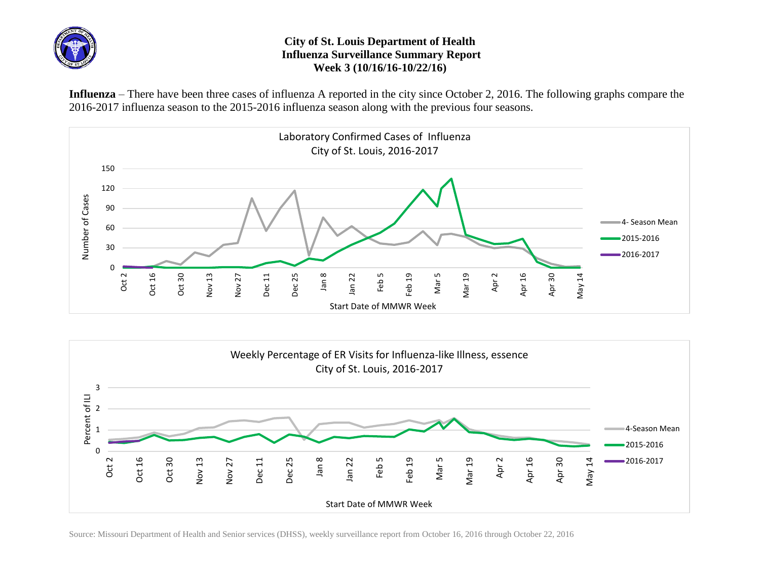

## **City of St. Louis Department of Health Influenza Surveillance Summary Report Week 3 (10/16/16-10/22/16)**

**Influenza** – There have been three cases of influenza A reported in the city since October 2, 2016. The following graphs compare the 2016-2017 influenza season to the 2015-2016 influenza season along with the previous four seasons.





Source: Missouri Department of Health and Senior services (DHSS), weekly surveillance report from October 16, 2016 through October 22, 2016